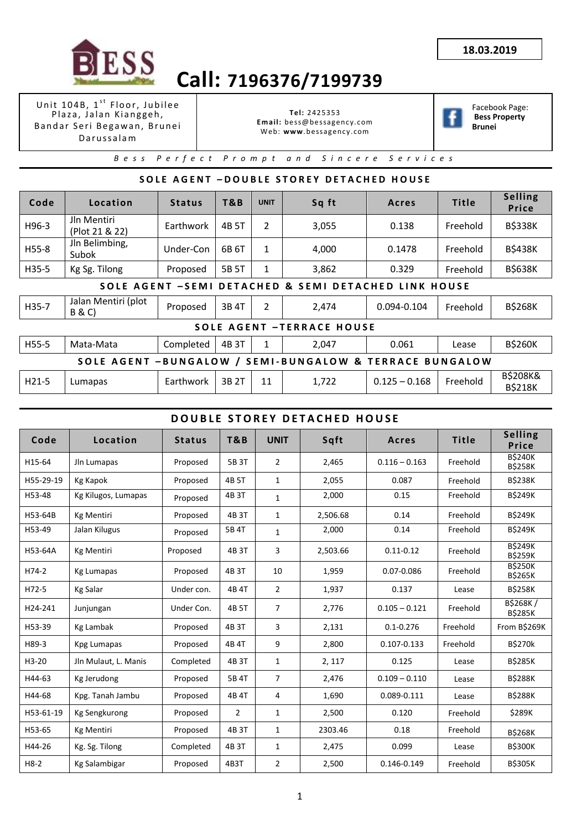

Unit 104B, 1<sup>st</sup> Floor, Jubilee Plaza, Jalan Kianggeh, Bandar Seri Begawan, Brunei D a r u s s a l a m

**Tel:** 2425353 **Email:** bess@bessagency.com Web: **www**.bessagency.com



Facebook Page: **Bess Property Brunei**

*B e s s P e r f e c t P r o m p t a n d S i n c e r e S e r v i c e s*

## **S O L E A G E N T – D O U B L E S T O R E Y D E T A C H E D H O U S E**

| Code                                                                         | Location                                 | <b>Status</b> | T&B   | <b>UNIT</b>    | Sq ft                                                   | Acres           | <b>Title</b> | <b>Selling</b><br>Price               |  |  |  |
|------------------------------------------------------------------------------|------------------------------------------|---------------|-------|----------------|---------------------------------------------------------|-----------------|--------------|---------------------------------------|--|--|--|
| H96-3                                                                        | Jln Mentiri<br>(Plot 21 & 22)            | Earthwork     | 4B 5T | 2              | 3,055                                                   | 0.138           | Freehold     | <b>B\$338K</b>                        |  |  |  |
| H55-8                                                                        | Jln Belimbing,<br>Subok                  | Under-Con     | 6B 6T | 1              | 4,000                                                   | 0.1478          | Freehold     | <b>B\$438K</b>                        |  |  |  |
| H35-5                                                                        | Kg Sg. Tilong                            | Proposed      | 5B 5T | 1              | 3,862                                                   | 0.329           | Freehold     | <b>B\$638K</b>                        |  |  |  |
| <b>DETACHED &amp; SEMI</b><br>SOLE AGENT -SEMI<br><b>DETACHED LINK HOUSE</b> |                                          |               |       |                |                                                         |                 |              |                                       |  |  |  |
| H35-7                                                                        | Jalan Mentiri (plot<br><b>B &amp; C)</b> | Proposed      | 3B 4T | $\overline{2}$ | 2,474                                                   | $0.094 - 0.104$ | Freehold     | <b>B\$268K</b>                        |  |  |  |
|                                                                              |                                          |               |       |                | <b>SOLE AGENT -TERRACE HOUSE</b>                        |                 |              |                                       |  |  |  |
| H55-5                                                                        | Mata-Mata                                | Completed     | 4B 3T | 1              | 2,047                                                   | 0.061           | Lease        | <b>B\$260K</b>                        |  |  |  |
|                                                                              |                                          |               |       |                | SOLE AGENT -BUNGALOW / SEMI-BUNGALOW & TERRACE BUNGALOW |                 |              |                                       |  |  |  |
| H21-5                                                                        | Lumapas                                  | Earthwork     | 3B 2T | 11             | 1,722                                                   | $0.125 - 0.168$ | Freehold     | <b>B\$208K&amp;</b><br><b>B\$218K</b> |  |  |  |

#### **DOUBLE STOREY DETACHED HOUSE**

| Code      | Location             | <b>Status</b> | T&B            | <b>UNIT</b>    | Sqft     | Acres           | <b>Title</b> | Selling<br>Price                 |
|-----------|----------------------|---------------|----------------|----------------|----------|-----------------|--------------|----------------------------------|
| H15-64    | Jln Lumapas          | Proposed      | 5B 3T          | 2              | 2,465    | $0.116 - 0.163$ | Freehold     | <b>B\$240K</b><br><b>B\$258K</b> |
| H55-29-19 | Kg Kapok             | Proposed      | 4B 5T          | 1              | 2,055    | 0.087           | Freehold     | <b>B\$238K</b>                   |
| H53-48    | Kg Kilugos, Lumapas  | Proposed      | 4B 3T          | 1              | 2,000    | 0.15            | Freehold     | <b>B\$249K</b>                   |
| H53-64B   | <b>Kg Mentiri</b>    | Proposed      | 4B 3T          | 1              | 2,506.68 | 0.14            | Freehold     | <b>B\$249K</b>                   |
| H53-49    | Jalan Kilugus        | Proposed      | 5B 4T          | $\mathbf{1}$   | 2,000    | 0.14            | Freehold     | <b>B\$249K</b>                   |
| H53-64A   | <b>Kg Mentiri</b>    | Proposed      | 4B 3T          | 3              | 2,503.66 | $0.11 - 0.12$   | Freehold     | <b>B\$249K</b><br><b>B\$259K</b> |
| H74-2     | <b>Kg Lumapas</b>    | Proposed      | 4B 3T          | 10             | 1,959    | 0.07-0.086      | Freehold     | <b>BS250K</b><br><b>B\$265K</b>  |
| H72-5     | <b>Kg Salar</b>      | Under con.    | 4B 4T          | $\overline{2}$ | 1,937    | 0.137           | Lease        | <b>B\$258K</b>                   |
| H24-241   | Junjungan            | Under Con.    | 4B 5T          | 7              | 2,776    | $0.105 - 0.121$ | Freehold     | B\$268K/<br><b>B\$285K</b>       |
| H53-39    | Kg Lambak            | Proposed      | 4B 3T          | 3              | 2,131    | $0.1 - 0.276$   | Freehold     | From B\$269K                     |
| H89-3     | Kpg Lumapas          | Proposed      | 4B 4T          | 9              | 2,800    | 0.107-0.133     | Freehold     | <b>B\$270k</b>                   |
| $H3-20$   | Jln Mulaut, L. Manis | Completed     | 4B 3T          | $\mathbf{1}$   | 2, 117   | 0.125           | Lease        | <b>B\$285K</b>                   |
| H44-63    | Kg Jerudong          | Proposed      | 5B 4T          | 7              | 2,476    | $0.109 - 0.110$ | Lease        | <b>B\$288K</b>                   |
| H44-68    | Kpg. Tanah Jambu     | Proposed      | 4B 4T          | 4              | 1,690    | 0.089-0.111     | Lease        | <b>BS288K</b>                    |
| H53-61-19 | <b>Kg Sengkurong</b> | Proposed      | $\overline{2}$ | 1              | 2,500    | 0.120           | Freehold     | \$289K                           |
| H53-65    | <b>Kg Mentiri</b>    | Proposed      | 4B 3T          | $\mathbf{1}$   | 2303.46  | 0.18            | Freehold     | <b>B\$268K</b>                   |
| H44-26    | Kg. Sg. Tilong       | Completed     | 4B 3T          | 1              | 2,475    | 0.099           | Lease        | <b>B\$300K</b>                   |
| $H8-2$    | Kg Salambigar        | Proposed      | 4B3T           | 2              | 2,500    | 0.146-0.149     | Freehold     | <b>B\$305K</b>                   |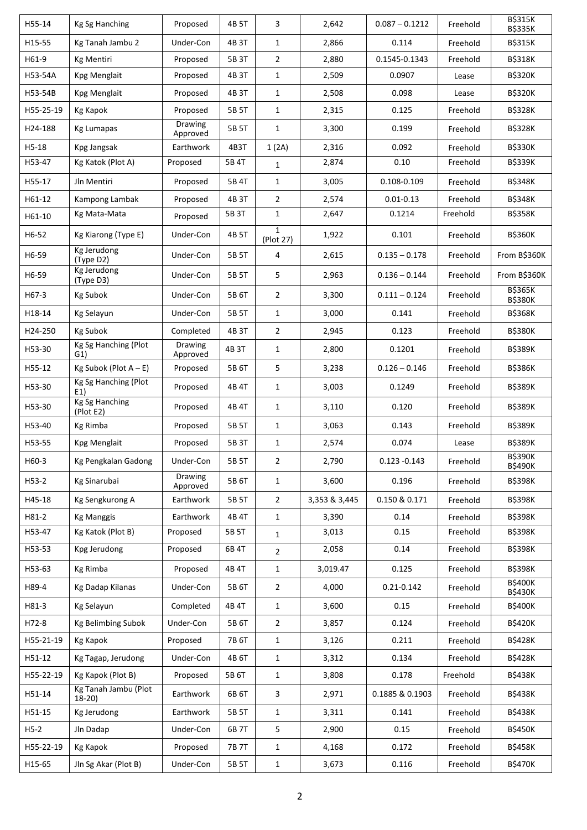| H55-14    | Kg Sg Hanching                  | Proposed                   | 4B 5T | 3                         | 2,642         | $0.087 - 0.1212$ | Freehold | <b>B\$315K</b><br><b>B\$335K</b> |
|-----------|---------------------------------|----------------------------|-------|---------------------------|---------------|------------------|----------|----------------------------------|
| H15-55    | Kg Tanah Jambu 2                | Under-Con                  | 4B 3T | $\mathbf{1}$              | 2,866         | 0.114            | Freehold | <b>B\$315K</b>                   |
| H61-9     | Kg Mentiri                      | Proposed                   | 5B 3T | $\overline{2}$            | 2,880         | 0.1545-0.1343    | Freehold | <b>B\$318K</b>                   |
| H53-54A   | Kpg Menglait                    | Proposed                   | 4B 3T | $\mathbf{1}$              | 2,509         | 0.0907           | Lease    | <b>B\$320K</b>                   |
| H53-54B   | Kpg Menglait                    | Proposed                   | 4B 3T | $\mathbf{1}$              | 2,508         | 0.098            | Lease    | <b>B\$320K</b>                   |
| H55-25-19 | Kg Kapok                        | Proposed                   | 5B 5T | $\mathbf{1}$              | 2,315         | 0.125            | Freehold | <b>B\$328K</b>                   |
| H24-188   | <b>Kg Lumapas</b>               | <b>Drawing</b><br>Approved | 5B 5T | $\mathbf{1}$              | 3,300         | 0.199            | Freehold | <b>B\$328K</b>                   |
| $H5-18$   | Kpg Jangsak                     | Earthwork                  | 4B3T  | 1(2A)                     | 2,316         | 0.092            | Freehold | <b>B\$330K</b>                   |
| H53-47    | Kg Katok (Plot A)               | Proposed                   | 5B 4T | 1                         | 2,874         | 0.10             | Freehold | <b>B\$339K</b>                   |
| H55-17    | Jln Mentiri                     | Proposed                   | 5B 4T | $\mathbf{1}$              | 3,005         | 0.108-0.109      | Freehold | <b>B\$348K</b>                   |
| H61-12    | Kampong Lambak                  | Proposed                   | 4B 3T | $\overline{2}$            | 2,574         | $0.01 - 0.13$    | Freehold | <b>B\$348K</b>                   |
| H61-10    | Kg Mata-Mata                    | Proposed                   | 5B 3T | $\mathbf{1}$              | 2,647         | 0.1214           | Freehold | <b>B\$358K</b>                   |
| H6-52     | Kg Kiarong (Type E)             | Under-Con                  | 4B 5T | $\mathbf{1}$<br>(Plot 27) | 1,922         | 0.101            | Freehold | <b>B\$360K</b>                   |
| H6-59     | Kg Jerudong<br>(Type D2)        | Under-Con                  | 5B 5T | 4                         | 2,615         | $0.135 - 0.178$  | Freehold | From B\$360K                     |
| H6-59     | Kg Jerudong<br>(Type D3)        | Under-Con                  | 5B 5T | 5                         | 2,963         | $0.136 - 0.144$  | Freehold | From B\$360K                     |
| H67-3     | Kg Subok                        | Under-Con                  | 5B 6T | $\overline{2}$            | 3,300         | $0.111 - 0.124$  | Freehold | <b>B\$365K</b><br><b>B\$380K</b> |
| H18-14    | Kg Selayun                      | Under-Con                  | 5B 5T | $\mathbf{1}$              | 3,000         | 0.141            | Freehold | <b>B\$368K</b>                   |
| H24-250   | <b>Kg Subok</b>                 | Completed                  | 4B 3T | $\overline{2}$            | 2,945         | 0.123            | Freehold | <b>B\$380K</b>                   |
| H53-30    | Kg Sg Hanching (Plot<br>G1)     | <b>Drawing</b><br>Approved | 4B 3T | $\mathbf{1}$              | 2,800         | 0.1201           | Freehold | <b>B\$389K</b>                   |
| H55-12    | Kg Subok (Plot $A - E$ )        | Proposed                   | 5B 6T | 5                         | 3,238         | $0.126 - 0.146$  | Freehold | <b>B\$386K</b>                   |
| H53-30    | Kg Sg Hanching (Plot<br>E1)     | Proposed                   | 4B 4T | $\mathbf{1}$              | 3,003         | 0.1249           | Freehold | <b>B\$389K</b>                   |
| H53-30    | Kg Sg Hanching<br>(Plot E2)     | Proposed                   | 4B 4T | $\mathbf{1}$              | 3,110         | 0.120            | Freehold | <b>B\$389K</b>                   |
| H53-40    | <b>Kg Rimba</b>                 | Proposed                   | 5B 5T | $\mathbf{1}$              | 3,063         | 0.143            | Freehold | <b>B\$389K</b>                   |
| H53-55    | Kpg Menglait                    | Proposed                   | 5B 3T | $\mathbf{1}$              | 2,574         | 0.074            | Lease    | <b>B\$389K</b>                   |
| H60-3     | Kg Pengkalan Gadong             | Under-Con                  | 5B 5T | $\overline{2}$            | 2,790         | $0.123 - 0.143$  | Freehold | <b>B\$390K</b><br><b>B\$490K</b> |
| $H53-2$   | Kg Sinarubai                    | Drawing<br>Approved        | 5B 6T | $\mathbf{1}$              | 3,600         | 0.196            | Freehold | <b>B\$398K</b>                   |
| H45-18    | Kg Sengkurong A                 | Earthwork                  | 5B 5T | $\overline{2}$            | 3,353 & 3,445 | 0.150 & 0.171    | Freehold | <b>B\$398K</b>                   |
| H81-2     | <b>Kg Manggis</b>               | Earthwork                  | 4B 4T | $\mathbf{1}$              | 3,390         | 0.14             | Freehold | <b>B\$398K</b>                   |
| H53-47    | Kg Katok (Plot B)               | Proposed                   | 5B 5T | $\mathbf{1}$              | 3,013         | 0.15             | Freehold | <b>B\$398K</b>                   |
| H53-53    | Kpg Jerudong                    | Proposed                   | 6B 4T | $\overline{2}$            | 2,058         | 0.14             | Freehold | <b>B\$398K</b>                   |
| H53-63    | <b>Kg Rimba</b>                 | Proposed                   | 4B 4T | $\mathbf{1}$              | 3,019.47      | 0.125            | Freehold | <b>B\$398K</b>                   |
| H89-4     | Kg Dadap Kilanas                | Under-Con                  | 5B 6T | $\overline{2}$            | 4,000         | $0.21 - 0.142$   | Freehold | <b>B\$400K</b><br><b>B\$430K</b> |
| H81-3     | Kg Selayun                      | Completed                  | 4B 4T | $\mathbf{1}$              | 3,600         | 0.15             | Freehold | <b>B\$400K</b>                   |
| H72-8     | Kg Belimbing Subok              | Under-Con                  | 5B 6T | $\overline{2}$            | 3,857         | 0.124            | Freehold | <b>B\$420K</b>                   |
| H55-21-19 | Kg Kapok                        | Proposed                   | 7B 6T | $\mathbf 1$               | 3,126         | 0.211            | Freehold | <b>B\$428K</b>                   |
| H51-12    | Kg Tagap, Jerudong              | Under-Con                  | 4B 6T | $\mathbf{1}$              | 3,312         | 0.134            | Freehold | <b>B\$428K</b>                   |
| H55-22-19 | Kg Kapok (Plot B)               | Proposed                   | 5B 6T | $\mathbf{1}$              | 3,808         | 0.178            | Freehold | <b>B\$438K</b>                   |
| H51-14    | Kg Tanah Jambu (Plot<br>$18-20$ | Earthwork                  | 6B 6T | 3                         | 2,971         | 0.1885 & 0.1903  | Freehold | <b>B\$438K</b>                   |
| H51-15    | Kg Jerudong                     | Earthwork                  | 5B 5T | $\mathbf{1}$              | 3,311         | 0.141            | Freehold | <b>B\$438K</b>                   |
| $H5-2$    | Jln Dadap                       | Under-Con                  | 6B 7T | 5                         | 2,900         | 0.15             | Freehold | <b>B\$450K</b>                   |
| H55-22-19 | Kg Kapok                        | Proposed                   | 7B 7T | $\mathbf 1$               | 4,168         | 0.172            | Freehold | <b>B\$458K</b>                   |
| H15-65    | Jln Sg Akar (Plot B)            | Under-Con                  | 5B 5T | $\mathbf{1}$              | 3,673         | 0.116            | Freehold | <b>B\$470K</b>                   |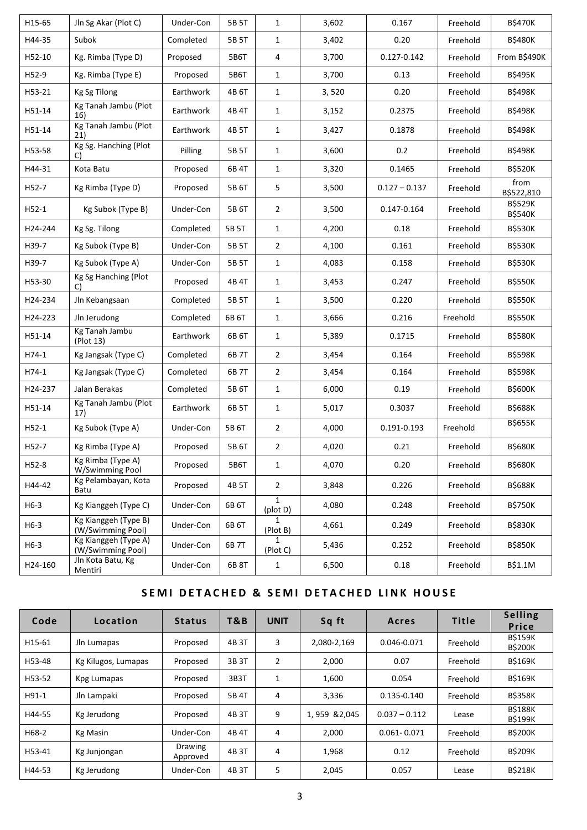| H15-65  | Jln Sg Akar (Plot C)                      | Under-Con | 5B 5T | $\mathbf{1}$             | 3,602 | 0.167           | Freehold | <b>B\$470K</b>                   |
|---------|-------------------------------------------|-----------|-------|--------------------------|-------|-----------------|----------|----------------------------------|
| H44-35  | Subok                                     | Completed | 5B 5T | $\mathbf{1}$             | 3,402 | 0.20            | Freehold | <b>B\$480K</b>                   |
| H52-10  | Kg. Rimba (Type D)                        | Proposed  | 5B6T  | 4                        | 3,700 | 0.127-0.142     | Freehold | From B\$490K                     |
| H52-9   | Kg. Rimba (Type E)                        | Proposed  | 5B6T  | $\mathbf{1}$             | 3,700 | 0.13            | Freehold | <b>B\$495K</b>                   |
| H53-21  | Kg Sg Tilong                              | Earthwork | 4B 6T | $\mathbf{1}$             | 3,520 | 0.20            | Freehold | <b>B\$498K</b>                   |
| H51-14  | Kg Tanah Jambu (Plot<br>16)               | Earthwork | 4B 4T | $\mathbf{1}$             | 3,152 | 0.2375          | Freehold | <b>B\$498K</b>                   |
| H51-14  | Kg Tanah Jambu (Plot<br>21)               | Earthwork | 4B 5T | $\mathbf{1}$             | 3,427 | 0.1878          | Freehold | <b>B\$498K</b>                   |
| H53-58  | Kg Sg. Hanching (Plot<br>C)               | Pilling   | 5B 5T | $\mathbf{1}$             | 3,600 | 0.2             | Freehold | <b>B\$498K</b>                   |
| H44-31  | Kota Batu                                 | Proposed  | 6B 4T | $\mathbf{1}$             | 3,320 | 0.1465          | Freehold | <b>B\$520K</b>                   |
| H52-7   | Kg Rimba (Type D)                         | Proposed  | 5B 6T | 5                        | 3,500 | $0.127 - 0.137$ | Freehold | from<br>B\$522,810               |
| $H52-1$ | Kg Subok (Type B)                         | Under-Con | 5B 6T | $\overline{2}$           | 3,500 | 0.147-0.164     | Freehold | <b>B\$529K</b><br><b>B\$540K</b> |
| H24-244 | Kg Sg. Tilong                             | Completed | 5B 5T | $\mathbf{1}$             | 4,200 | 0.18            | Freehold | <b>B\$530K</b>                   |
| H39-7   | Kg Subok (Type B)                         | Under-Con | 5B 5T | $\overline{2}$           | 4,100 | 0.161           | Freehold | <b>B\$530K</b>                   |
| H39-7   | Kg Subok (Type A)                         | Under-Con | 5B 5T | $\mathbf{1}$             | 4,083 | 0.158           | Freehold | <b>B\$530K</b>                   |
| H53-30  | Kg Sg Hanching (Plot<br>C)                | Proposed  | 4B 4T | $\mathbf{1}$             | 3,453 | 0.247           | Freehold | <b>B\$550K</b>                   |
| H24-234 | Jln Kebangsaan                            | Completed | 5B 5T | $\mathbf{1}$             | 3,500 | 0.220           | Freehold | <b>B\$550K</b>                   |
| H24-223 | Jln Jerudong                              | Completed | 6B 6T | $\mathbf{1}$             | 3,666 | 0.216           | Freehold | <b>B\$550K</b>                   |
| H51-14  | Kg Tanah Jambu<br>(Plot 13)               | Earthwork | 6B 6T | $\mathbf{1}$             | 5,389 | 0.1715          | Freehold | <b>B\$580K</b>                   |
| H74-1   | Kg Jangsak (Type C)                       | Completed | 6B 7T | $\overline{2}$           | 3,454 | 0.164           | Freehold | <b>B\$598K</b>                   |
| H74-1   | Kg Jangsak (Type C)                       | Completed | 6B 7T | $\overline{2}$           | 3,454 | 0.164           | Freehold | <b>B\$598K</b>                   |
| H24-237 | Jalan Berakas                             | Completed | 5B 6T | $\mathbf{1}$             | 6,000 | 0.19            | Freehold | <b>B\$600K</b>                   |
| H51-14  | Kg Tanah Jambu (Plot<br>17)               | Earthwork | 6B 5T | $\mathbf{1}$             | 5,017 | 0.3037          | Freehold | <b>B\$688K</b>                   |
| $H52-1$ | Kg Subok (Type A)                         | Under-Con | 5B 6T | $\overline{2}$           | 4,000 | 0.191-0.193     | Freehold | <b>B\$655K</b>                   |
| H52-7   | Kg Rimba (Type A)                         | Proposed  | 5B 6T | $\overline{2}$           | 4,020 | 0.21            | Freehold | <b>B\$680K</b>                   |
| H52-8   | Kg Rimba (Type A)<br>W/Swimming Pool      | Proposed  | 5B6T  | $\mathbf 1$              | 4,070 | 0.20            | Freehold | <b>B\$680K</b>                   |
| H44-42  | Kg Pelambayan, Kota<br>Batu               | Proposed  | 4B 5T | $\overline{2}$           | 3,848 | 0.226           | Freehold | <b>B\$688K</b>                   |
| $H6-3$  | Kg Kianggeh (Type C)                      | Under-Con | 6B 6T | $\mathbf{1}$<br>(plot D) | 4,080 | 0.248           | Freehold | <b>B\$750K</b>                   |
| $H6-3$  | Kg Kianggeh (Type B)<br>(W/Swimming Pool) | Under-Con | 6B 6T | $\mathbf{1}$<br>(Plot B) | 4,661 | 0.249           | Freehold | <b>B\$830K</b>                   |
| $H6-3$  | Kg Kianggeh (Type A)<br>(W/Swimming Pool) | Under-Con | 6B 7T | 1<br>(Plot C)            | 5,436 | 0.252           | Freehold | <b>B\$850K</b>                   |
| H24-160 | Jln Kota Batu, Kg<br>Mentiri              | Under-Con | 6B 8T | $\mathbf{1}$             | 6,500 | 0.18            | Freehold | B\$1.1M                          |

# **SEMI DETACHED & SEMI DETACHED LINK HOUSE**

| Code    | Location            | <b>Status</b>       | T&B   | <b>UNIT</b>    | Sq ft         | <b>Acres</b>    | <b>Title</b> | <b>Selling</b><br>Price          |
|---------|---------------------|---------------------|-------|----------------|---------------|-----------------|--------------|----------------------------------|
| H15-61  | Jln Lumapas         | Proposed            | 4B 3T | 3              | 2,080-2,169   | 0.046-0.071     | Freehold     | <b>B\$159K</b><br><b>B\$200K</b> |
| H53-48  | Kg Kilugos, Lumapas | Proposed            | 3B 3T | $\overline{2}$ | 2,000         | 0.07            | Freehold     | <b>B\$169K</b>                   |
| H53-52  | Kpg Lumapas         | Proposed            | 3B3T  | 1              | 1,600         | 0.054           | Freehold     | <b>BS169K</b>                    |
| $H91-1$ | Jln Lampaki         | Proposed            | 5B 4T | 4              | 3,336         | $0.135 - 0.140$ | Freehold     | <b>BS358K</b>                    |
| H44-55  | Kg Jerudong         | Proposed            | 4B 3T | 9              | 1,959 & 2,045 | $0.037 - 0.112$ | Lease        | <b>BŚ188K</b><br><b>BS199K</b>   |
| H68-2   | Kg Masin            | Under-Con           | 4B 4T | 4              | 2,000         | $0.061 - 0.071$ | Freehold     | <b>B\$200K</b>                   |
| H53-41  | Kg Junjongan        | Drawing<br>Approved | 4B 3T | 4              | 1,968         | 0.12            | Freehold     | <b>BS209K</b>                    |
| H44-53  | Kg Jerudong         | Under-Con           | 4B 3T | 5              | 2,045         | 0.057           | Lease        | <b>B\$218K</b>                   |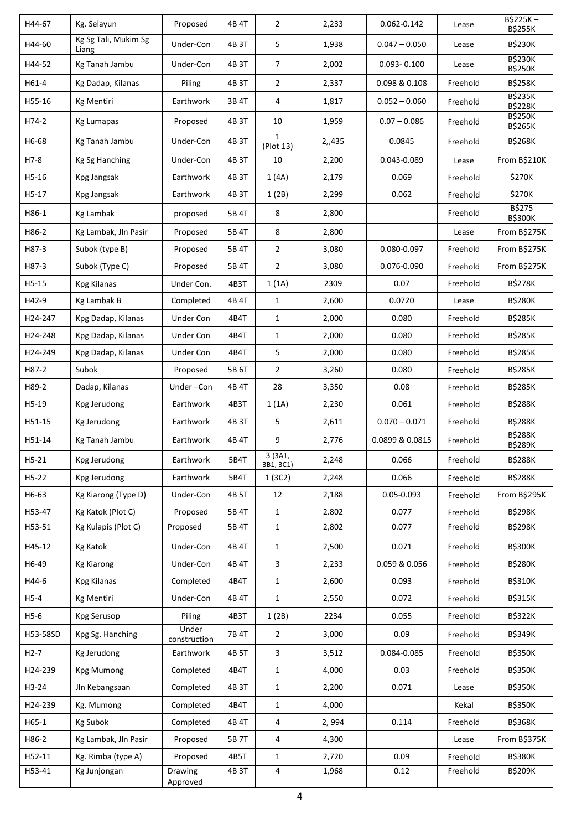| H44-67   | Kg. Selayun                   | Proposed              | 4B 4T | $\overline{2}$           | 2,233  | 0.062-0.142     | Lease    | $B$225K -$<br><b>B\$255K</b>     |
|----------|-------------------------------|-----------------------|-------|--------------------------|--------|-----------------|----------|----------------------------------|
| H44-60   | Kg Sg Tali, Mukim Sg<br>Liang | Under-Con             | 4B 3T | 5                        | 1,938  | $0.047 - 0.050$ | Lease    | <b>B\$230K</b>                   |
| H44-52   | Kg Tanah Jambu                | Under-Con             | 4B 3T | 7                        | 2,002  | $0.093 - 0.100$ | Lease    | <b>B\$230K</b><br><b>B\$250K</b> |
| H61-4    | Kg Dadap, Kilanas             | Piling                | 4B 3T | $\overline{2}$           | 2,337  | 0.098 & 0.108   | Freehold | <b>B\$258K</b>                   |
| H55-16   | <b>Kg Mentiri</b>             | Earthwork             | 3B 4T | 4                        | 1,817  | $0.052 - 0.060$ | Freehold | <b>B\$235K</b><br><b>B\$228K</b> |
| H74-2    | <b>Kg Lumapas</b>             | Proposed              | 4B 3T | 10                       | 1,959  | $0.07 - 0.086$  | Freehold | <b>B\$250K</b><br><b>B\$265K</b> |
| H6-68    | Kg Tanah Jambu                | Under-Con             | 4B 3T | $\mathbf 1$<br>(Plot 13) | 2,,435 | 0.0845          | Freehold | <b>B\$268K</b>                   |
| $H7-8$   | Kg Sg Hanching                | Under-Con             | 4B 3T | 10                       | 2,200  | 0.043-0.089     | Lease    | From B\$210K                     |
| H5-16    | Kpg Jangsak                   | Earthwork             | 4B 3T | 1(4A)                    | 2,179  | 0.069           | Freehold | \$270K                           |
| H5-17    | Kpg Jangsak                   | Earthwork             | 4B 3T | 1(2B)                    | 2,299  | 0.062           | Freehold | \$270K                           |
| H86-1    | <b>Kg Lambak</b>              | proposed              | 5B 4T | 8                        | 2,800  |                 | Freehold | B\$275<br><b>B\$300K</b>         |
| H86-2    | Kg Lambak, Jln Pasir          | Proposed              | 5B 4T | $\,8\,$                  | 2,800  |                 | Lease    | From B\$275K                     |
| H87-3    | Subok (type B)                | Proposed              | 5B 4T | $\overline{2}$           | 3,080  | 0.080-0.097     | Freehold | From B\$275K                     |
| H87-3    | Subok (Type C)                | Proposed              | 5B 4T | $\overline{2}$           | 3,080  | 0.076-0.090     | Freehold | From B\$275K                     |
| $H5-15$  | <b>Kpg Kilanas</b>            | Under Con.            | 4B3T  | 1(1A)                    | 2309   | 0.07            | Freehold | <b>B\$278K</b>                   |
| H42-9    | Kg Lambak B                   | Completed             | 4B 4T | $\mathbf{1}$             | 2,600  | 0.0720          | Lease    | <b>B\$280K</b>                   |
| H24-247  | Kpg Dadap, Kilanas            | <b>Under Con</b>      | 4B4T  | $\mathbf{1}$             | 2,000  | 0.080           | Freehold | <b>B\$285K</b>                   |
| H24-248  | Kpg Dadap, Kilanas            | <b>Under Con</b>      | 4B4T  | 1                        | 2,000  | 0.080           | Freehold | <b>B\$285K</b>                   |
| H24-249  | Kpg Dadap, Kilanas            | <b>Under Con</b>      | 4B4T  | 5                        | 2,000  | 0.080           | Freehold | <b>B\$285K</b>                   |
| H87-2    | Subok                         | Proposed              | 5B 6T | $\overline{2}$           | 3,260  | 0.080           | Freehold | <b>B\$285K</b>                   |
| H89-2    | Dadap, Kilanas                | Under-Con             | 4B 4T | 28                       | 3,350  | 0.08            | Freehold | <b>B\$285K</b>                   |
| H5-19    | Kpg Jerudong                  | Earthwork             | 4B3T  | 1(1A)                    | 2,230  | 0.061           | Freehold | <b>B\$288K</b>                   |
| H51-15   | Kg Jerudong                   | Earthwork             | 4B 3T | 5                        | 2,611  | $0.070 - 0.071$ | Freehold | <b>B\$288K</b>                   |
| H51-14   | Kg Tanah Jambu                | Earthwork             | 4B 4T | 9                        | 2,776  | 0.0899 & 0.0815 | Freehold | <b>B\$288K</b><br><b>B\$289K</b> |
| H5-21    | Kpg Jerudong                  | Earthwork             | 5B4T  | 3 (3A1,<br>3B1, 3C1)     | 2,248  | 0.066           | Freehold | B\$288K                          |
| $H5-22$  | Kpg Jerudong                  | Earthwork             | 5B4T  | 1(3C2)                   | 2,248  | 0.066           | Freehold | <b>B\$288K</b>                   |
| H6-63    | Kg Kiarong (Type D)           | Under-Con             | 4B 5T | 12                       | 2,188  | 0.05-0.093      | Freehold | From B\$295K                     |
| H53-47   | Kg Katok (Plot C)             | Proposed              | 5B 4T | $\mathbf{1}$             | 2.802  | 0.077           | Freehold | <b>B\$298K</b>                   |
| H53-51   | Kg Kulapis (Plot C)           | Proposed              | 5B 4T | $\mathbf{1}$             | 2,802  | 0.077           | Freehold | <b>B\$298K</b>                   |
| H45-12   | <b>Kg Katok</b>               | Under-Con             | 4B 4T | $\mathbf{1}$             | 2,500  | 0.071           | Freehold | <b>B\$300K</b>                   |
| H6-49    | <b>Kg Kiarong</b>             | Under-Con             | 4B 4T | 3                        | 2,233  | 0.059 & 0.056   | Freehold | <b>B\$280K</b>                   |
| H44-6    | <b>Kpg Kilanas</b>            | Completed             | 4B4T  | $\mathbf 1$              | 2,600  | 0.093           | Freehold | <b>B\$310K</b>                   |
| $H5-4$   | <b>Kg Mentiri</b>             | Under-Con             | 4B 4T | $\mathbf{1}$             | 2,550  | 0.072           | Freehold | <b>B\$315K</b>                   |
| $H5-6$   | Kpg Serusop                   | Piling                | 4B3T  | 1(2B)                    | 2234   | 0.055           | Freehold | <b>B\$322K</b>                   |
| H53-58SD | Kpg Sg. Hanching              | Under<br>construction | 7B 4T | $\overline{2}$           | 3,000  | 0.09            | Freehold | <b>B\$349K</b>                   |
| $H2-7$   | Kg Jerudong                   | Earthwork             | 4B 5T | 3                        | 3,512  | 0.084-0.085     | Freehold | <b>B\$350K</b>                   |
| H24-239  | <b>Kpg Mumong</b>             | Completed             | 4B4T  | $\mathbf{1}$             | 4,000  | 0.03            | Freehold | <b>B\$350K</b>                   |
| $H3-24$  | Jln Kebangsaan                | Completed             | 4B 3T | $\mathbf{1}$             | 2,200  | 0.071           | Lease    | <b>B\$350K</b>                   |
| H24-239  | Kg. Mumong                    | Completed             | 4B4T  | $\mathbf{1}$             | 4,000  |                 | Kekal    | <b>B\$350K</b>                   |
| $H65-1$  | Kg Subok                      | Completed             | 4B 4T | 4                        | 2,994  | 0.114           | Freehold | <b>B\$368K</b>                   |
| H86-2    | Kg Lambak, Jln Pasir          | Proposed              | 5B 7T | 4                        | 4,300  |                 | Lease    | From B\$375K                     |
| H52-11   | Kg. Rimba (type A)            | Proposed              | 4B5T  | $\mathbf{1}$             | 2,720  | 0.09            | Freehold | <b>B\$380K</b>                   |
| H53-41   | Kg Junjongan                  | Drawing<br>Approved   | 4B 3T | 4                        | 1,968  | 0.12            | Freehold | <b>B\$209K</b>                   |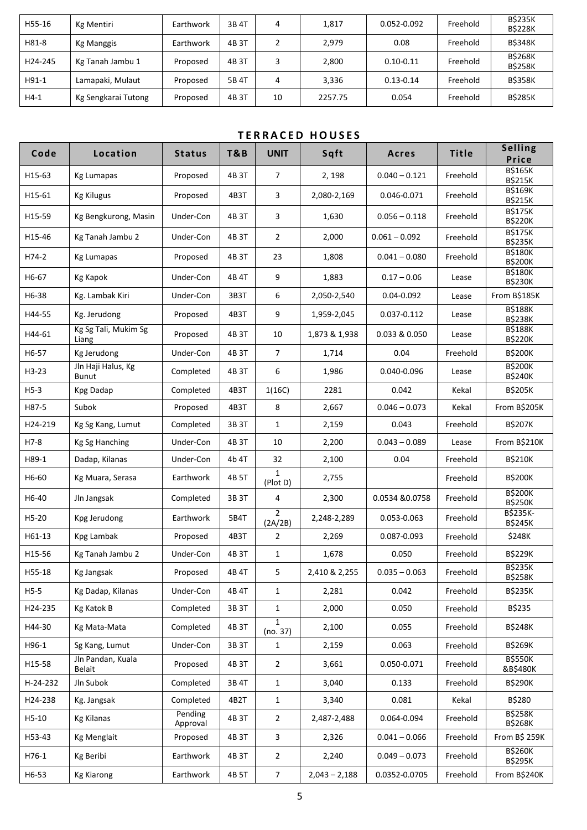| H55-16  | Kg Mentiri          | Earthwork | 3B 4T | 4  | 1,817   | 0.052-0.092   | Freehold | <b>B\$235K</b><br><b>B\$228K</b> |
|---------|---------------------|-----------|-------|----|---------|---------------|----------|----------------------------------|
| H81-8   | <b>Kg Manggis</b>   | Earthwork | 4B 3T |    | 2,979   | 0.08          | Freehold | <b>B\$348K</b>                   |
| H24-245 | Kg Tanah Jambu 1    | Proposed  | 4B 3T |    | 2,800   | $0.10 - 0.11$ | Freehold | <b>B\$268K</b><br><b>B\$258K</b> |
| H91-1   | Lamapaki, Mulaut    | Proposed  | 5B 4T | 4  | 3,336   | $0.13 - 0.14$ | Freehold | <b>B\$358K</b>                   |
| $H4-1$  | Kg Sengkarai Tutong | Proposed  | 4B 3T | 10 | 2257.75 | 0.054         | Freehold | <b>B\$285K</b>                   |

#### **T E R R A C E D H O U S E S**

| Code     | Location                           | <b>Status</b>       | <b>T&amp;B</b> | <b>UNIT</b>               | Sqft            | Acres           | <b>Title</b> | <b>Selling</b><br>Price           |
|----------|------------------------------------|---------------------|----------------|---------------------------|-----------------|-----------------|--------------|-----------------------------------|
| H15-63   | <b>Kg Lumapas</b>                  | Proposed            | 4B 3T          | 7                         | 2, 198          | $0.040 - 0.121$ | Freehold     | <b>B\$165K</b><br><b>B\$215K</b>  |
| H15-61   | <b>Kg Kilugus</b>                  | Proposed            | 4B3T           | 3                         | 2,080-2,169     | 0.046-0.071     | Freehold     | <b>B\$169K</b><br><b>B\$215K</b>  |
| H15-59   | Kg Bengkurong, Masin               | Under-Con           | 4B 3T          | 3                         | 1,630           | $0.056 - 0.118$ | Freehold     | <b>B\$175K</b><br><b>B\$220K</b>  |
| H15-46   | Kg Tanah Jambu 2                   | Under-Con           | 4B 3T          | $\overline{2}$            | 2,000           | $0.061 - 0.092$ | Freehold     | <b>B\$175K</b><br><b>B\$235K</b>  |
| H74-2    | <b>Kg Lumapas</b>                  | Proposed            | 4B 3T          | 23                        | 1,808           | $0.041 - 0.080$ | Freehold     | <b>B\$180K</b><br><b>B\$200K</b>  |
| H6-67    | Kg Kapok                           | Under-Con           | 4B 4T          | 9                         | 1,883           | $0.17 - 0.06$   | Lease        | <b>B\$180K</b><br><b>B\$230K</b>  |
| H6-38    | Kg. Lambak Kiri                    | Under-Con           | 3B3T           | 6                         | 2,050-2,540     | 0.04-0.092      | Lease        | From B\$185K                      |
| H44-55   | Kg. Jerudong                       | Proposed            | 4B3T           | 9                         | 1,959-2,045     | 0.037-0.112     | Lease        | <b>B\$188K</b><br><b>B\$238K</b>  |
| H44-61   | Kg Sg Tali, Mukim Sg<br>Liang      | Proposed            | 4B 3T          | 10                        | 1,873 & 1,938   | 0.033 & 0.050   | Lease        | <b>B\$188K</b><br><b>B\$220K</b>  |
| H6-57    | Kg Jerudong                        | Under-Con           | 4B 3T          | $\overline{7}$            | 1,714           | 0.04            | Freehold     | <b>B\$200K</b>                    |
| H3-23    | Jln Haji Halus, Kg<br><b>Bunut</b> | Completed           | 4B 3T          | 6                         | 1,986           | 0.040-0.096     | Lease        | <b>B\$200K</b><br><b>B\$240K</b>  |
| $H5-3$   | Kpg Dadap                          | Completed           | 4B3T           | 1(16C)                    | 2281            | 0.042           | Kekal        | <b>B\$205K</b>                    |
| H87-5    | Subok                              | Proposed            | 4B3T           | 8                         | 2,667           | $0.046 - 0.073$ | Kekal        | From B\$205K                      |
| H24-219  | Kg Sg Kang, Lumut                  | Completed           | 3B 3T          | $\mathbf{1}$              | 2,159           | 0.043           | Freehold     | B\$207K                           |
| H7-8     | Kg Sg Hanching                     | Under-Con           | 4B 3T          | 10                        | 2,200           | $0.043 - 0.089$ | Lease        | From B\$210K                      |
| H89-1    | Dadap, Kilanas                     | Under-Con           | 4b 4T          | 32                        | 2,100           | 0.04            | Freehold     | <b>B\$210K</b>                    |
| H6-60    | Kg Muara, Serasa                   | Earthwork           | 4B 5T          | 1<br>(Plot D)             | 2,755           |                 | Freehold     | <b>B\$200K</b>                    |
| H6-40    | Jln Jangsak                        | Completed           | 3B 3T          | 4                         | 2,300           | 0.0534 & 0.0758 | Freehold     | <b>B\$200K</b><br><b>B\$250K</b>  |
| H5-20    | Kpg Jerudong                       | Earthwork           | 5B4T           | $\overline{2}$<br>(2A/2B) | 2,248-2,289     | 0.053-0.063     | Freehold     | <b>B\$235K-</b><br><b>B\$245K</b> |
| H61-13   | Kpg Lambak                         | Proposed            | 4B3T           | 2                         | 2,269           | 0.087-0.093     | Freehold     | \$248K                            |
| H15-56   | Kg Tanah Jambu 2                   | Under-Con           | 4B 3T          | 1                         | 1,678           | 0.050           | Freehold     | <b>B\$229K</b>                    |
| H55-18   | Kg Jangsak                         | Proposed            | 4B 4T          | 5                         | 2,410 & 2,255   | $0.035 - 0.063$ | Freehold     | <b>B\$235K</b><br><b>B\$258K</b>  |
| $H5-5$   | Kg Dadap, Kilanas                  | Under-Con           | 4B 4T          | 1                         | 2,281           | 0.042           | Freehold     | <b>B\$235K</b>                    |
| H24-235  | Kg Katok B                         | Completed           | 3B 3T          | $\mathbf{1}$              | 2,000           | 0.050           | Freehold     | B\$235                            |
| H44-30   | Kg Mata-Mata                       | Completed           | 4B 3T          | 1<br>(no. 37)             | 2,100           | 0.055           | Freehold     | <b>B\$248K</b>                    |
| H96-1    | Sg Kang, Lumut                     | Under-Con           | 3B 3T          | 1                         | 2,159           | 0.063           | Freehold     | <b>B\$269K</b>                    |
| H15-58   | Jln Pandan, Kuala<br><b>Belait</b> | Proposed            | 4B 3T          | $\overline{2}$            | 3,661           | 0.050-0.071     | Freehold     | <b>B\$550K</b><br>&B\$480K        |
| H-24-232 | Jln Subok                          | Completed           | 3B 4T          | $\mathbf{1}$              | 3,040           | 0.133           | Freehold     | <b>B\$290K</b>                    |
| H24-238  | Kg. Jangsak                        | Completed           | 4B2T           | $\mathbf{1}$              | 3,340           | 0.081           | Kekal        | B\$280                            |
| H5-10    | <b>Kg Kilanas</b>                  | Pending<br>Approval | 4B 3T          | $\overline{2}$            | 2,487-2,488     | 0.064-0.094     | Freehold     | <b>B\$258K</b><br><b>B\$268K</b>  |
| H53-43   | <b>Kg Menglait</b>                 | Proposed            | 4B 3T          | 3                         | 2,326           | $0.041 - 0.066$ | Freehold     | From B\$ 259K                     |
| H76-1    | Kg Beribi                          | Earthwork           | 4B 3T          | $\overline{2}$            | 2,240           | $0.049 - 0.073$ | Freehold     | <b>B\$260K</b><br><b>B\$295K</b>  |
| H6-53    | <b>Kg Kiarong</b>                  | Earthwork           | 4B 5T          | $\overline{7}$            | $2,043 - 2,188$ | 0.0352-0.0705   | Freehold     | From B\$240K                      |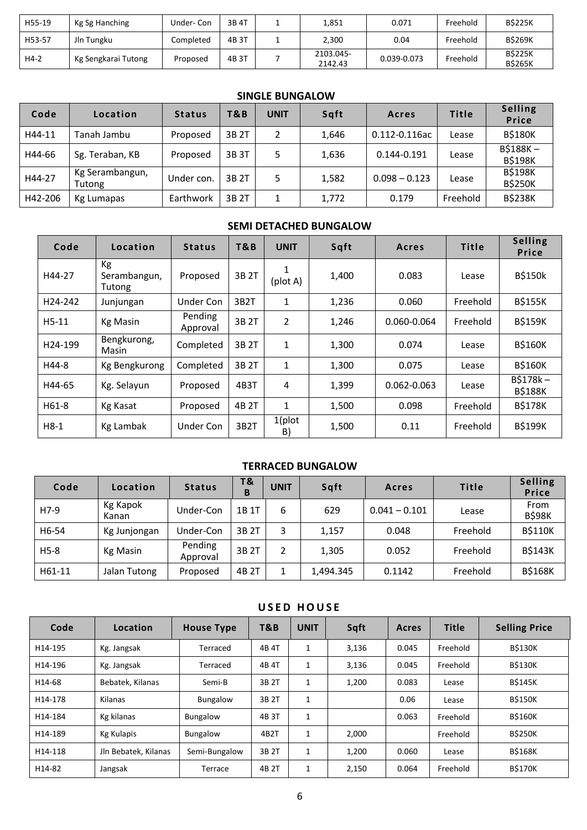| H55-19 | Kg Sg Hanching      | Under-Con | 3B 4T | 1.851                | 0.071       | Freehold | <b>BS225K</b>                   |
|--------|---------------------|-----------|-------|----------------------|-------------|----------|---------------------------------|
| H53-57 | Jln Tungku          | Completed | 4B 3T | 2,300                | 0.04        | Freehold | <b>BS269K</b>                   |
| $H4-2$ | Kg Sengkarai Tutong | Proposed  | 4B 3T | 2103.045-<br>2142.43 | 0.039-0.073 | Freehold | <b>BS225K</b><br><b>B\$265K</b> |

### **SINGLE BUNGALOW**

| Code    | Location                  | <b>Status</b> | T&B   | <b>UNIT</b> | Sqft  | Acres           | <b>Title</b> | <b>Selling</b><br>Price          |
|---------|---------------------------|---------------|-------|-------------|-------|-----------------|--------------|----------------------------------|
| H44-11  | Tanah Jambu               | Proposed      | 3B 2T |             | 1,646 | 0.112-0.116ac   | Lease        | <b>B\$180K</b>                   |
| H44-66  | Sg. Teraban, KB           | Proposed      | 3B 3T | 5           | 1,636 | $0.144 - 0.191$ | Lease        | $B$188K -$<br><b>B\$198K</b>     |
| H44-27  | Kg Serambangun,<br>Tutong | Under con.    | 3B 2T | 5           | 1,582 | $0.098 - 0.123$ | Lease        | <b>B\$198K</b><br><b>B\$250K</b> |
| H42-206 | Kg Lumapas                | Earthwork     | 3B 2T |             | 1,772 | 0.179           | Freehold     | <b>B\$238K</b>                   |

#### **SEMI DETACHED BUNGALOW**

| Code    | Location                     | <b>Status</b>       | T&B               | <b>UNIT</b>     | Sqft  | Acres           | <b>Title</b> | <b>Selling</b><br><b>Price</b> |
|---------|------------------------------|---------------------|-------------------|-----------------|-------|-----------------|--------------|--------------------------------|
| H44-27  | Кg<br>Serambangun,<br>Tutong | Proposed            | 3B 2T             | 1<br>(plot A)   | 1,400 | 0.083           | Lease        | <b>B\$150k</b>                 |
| H24-242 | Junjungan                    | <b>Under Con</b>    | 3B <sub>2</sub> T | 1               | 1,236 | 0.060           | Freehold     | <b>B\$155K</b>                 |
| $H5-11$ | <b>Kg Masin</b>              | Pending<br>Approval | 3B 2T             | $\overline{2}$  | 1,246 | 0.060-0.064     | Freehold     | <b>B\$159K</b>                 |
| H24-199 | Bengkurong,<br>Masin         | Completed           | 3B 2T             | 1               | 1,300 | 0.074           | Lease        | <b>B\$160K</b>                 |
| H44-8   | Kg Bengkurong                | Completed           | 3B 2T             | $\mathbf{1}$    | 1,300 | 0.075           | Lease        | <b>B\$160K</b>                 |
| H44-65  | Kg. Selayun                  | Proposed            | 4B3T              | 4               | 1,399 | $0.062 - 0.063$ | Lease        | $B$178k -$<br><b>B\$188K</b>   |
| H61-8   | Kg Kasat                     | Proposed            | 4B 2T             | 1               | 1,500 | 0.098           | Freehold     | <b>B\$178K</b>                 |
| $H8-1$  | Kg Lambak                    | Under Con           | 3B <sub>2</sub> T | $1$ (plot<br>B) | 1,500 | 0.11            | Freehold     | <b>B\$199K</b>                 |

#### **TERRACED BUNGALOW**

| Code   | Location          | <b>Status</b>       | T &<br>B | <b>UNIT</b> | Sqft      | Acres           | <b>Title</b> | <b>Selling</b><br>Price |
|--------|-------------------|---------------------|----------|-------------|-----------|-----------------|--------------|-------------------------|
| H7-9   | Kg Kapok<br>Kanan | Under-Con           | 1B 1T    | 6           | 629       | $0.041 - 0.101$ | Lease        | From<br><b>B\$98K</b>   |
| H6-54  | Kg Junjongan      | Under-Con           | 3B 2T    |             | 1,157     | 0.048           | Freehold     | <b>B\$110K</b>          |
| $H5-8$ | Kg Masin          | Pending<br>Approval | 3B 2T    |             | 1,305     | 0.052           | Freehold     | <b>B\$143K</b>          |
| H61-11 | Jalan Tutong      | Proposed            | 4B 2T    |             | 1.494.345 | 0.1142          | Freehold     | <b>B\$168K</b>          |

#### **U S E D H O U S E**

| Code    | Location             | <b>House Type</b> | T&B   | <b>UNIT</b> | Sqft  | Acres | <b>Title</b> | <b>Selling Price</b> |
|---------|----------------------|-------------------|-------|-------------|-------|-------|--------------|----------------------|
| H14-195 | Kg. Jangsak          | Terraced          | 4B 4T | 1           | 3,136 | 0.045 | Freehold     | <b>B\$130K</b>       |
| H14-196 | Kg. Jangsak          | Terraced          | 4B 4T | 1           | 3,136 | 0.045 | Freehold     | <b>B\$130K</b>       |
| H14-68  | Bebatek, Kilanas     | Semi-B            | 3B 2T | 1           | 1,200 | 0.083 | Lease        | <b>BS145K</b>        |
| H14-178 | Kilanas              | <b>Bungalow</b>   | 3B 2T | 1           |       | 0.06  | Lease        | <b>B\$150K</b>       |
| H14-184 | Kg kilanas           | <b>Bungalow</b>   | 4B 3T | 1           |       | 0.063 | Freehold     | <b>BŚ160K</b>        |
| H14-189 | <b>Kg Kulapis</b>    | <b>Bungalow</b>   | 4B2T  | 1           | 2,000 |       | Freehold     | <b>BS250K</b>        |
| H14-118 | Jln Bebatek, Kilanas | Semi-Bungalow     | 3B 2T | 1           | 1,200 | 0.060 | Lease        | <b>B\$168K</b>       |
| H14-82  | Jangsak              | Terrace           | 4B 2T | 1           | 2,150 | 0.064 | Freehold     | <b>B\$170K</b>       |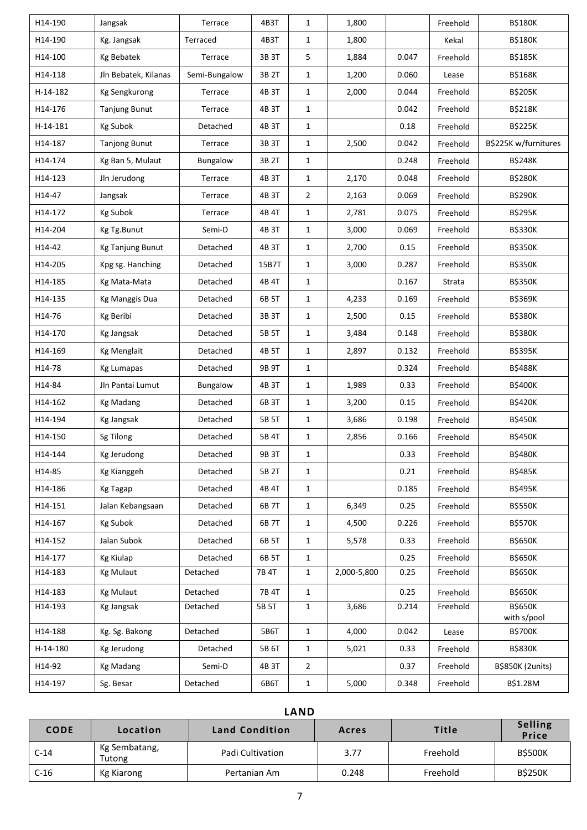| H14-190  | Jangsak              | Terrace       | 4B3T  | $\mathbf{1}$   | 1,800       |       | Freehold | <b>B\$180K</b>                |
|----------|----------------------|---------------|-------|----------------|-------------|-------|----------|-------------------------------|
| H14-190  | Kg. Jangsak          | Terraced      | 4B3T  | $\mathbf{1}$   | 1,800       |       | Kekal    | <b>B\$180K</b>                |
| H14-100  | <b>Kg Bebatek</b>    | Terrace       | 3B 3T | 5              | 1,884       | 0.047 | Freehold | <b>B\$185K</b>                |
| H14-118  | Jln Bebatek, Kilanas | Semi-Bungalow | 3B 2T | $\mathbf{1}$   | 1,200       | 0.060 | Lease    | <b>B\$168K</b>                |
| H-14-182 | <b>Kg Sengkurong</b> | Terrace       | 4B 3T | $\mathbf{1}$   | 2,000       | 0.044 | Freehold | <b>B\$205K</b>                |
| H14-176  | <b>Tanjung Bunut</b> | Terrace       | 4B 3T | $\mathbf{1}$   |             | 0.042 | Freehold | <b>B\$218K</b>                |
| H-14-181 | Kg Subok             | Detached      | 4B 3T | $\mathbf{1}$   |             | 0.18  | Freehold | <b>B\$225K</b>                |
| H14-187  | <b>Tanjong Bunut</b> | Terrace       | 3B 3T | $\mathbf{1}$   | 2,500       | 0.042 | Freehold | B\$225K w/furnitures          |
| H14-174  | Kg Ban 5, Mulaut     | Bungalow      | 3B 2T | $\mathbf{1}$   |             | 0.248 | Freehold | <b>B\$248K</b>                |
| H14-123  | Jln Jerudong         | Terrace       | 4B 3T | $\mathbf{1}$   | 2,170       | 0.048 | Freehold | <b>B\$280K</b>                |
| H14-47   | Jangsak              | Terrace       | 4B 3T | $\overline{2}$ | 2,163       | 0.069 | Freehold | <b>B\$290K</b>                |
| H14-172  | <b>Kg Subok</b>      | Terrace       | 4B 4T | $\mathbf{1}$   | 2,781       | 0.075 | Freehold | <b>B\$295K</b>                |
| H14-204  | Kg Tg.Bunut          | Semi-D        | 4B 3T | $\mathbf{1}$   | 3,000       | 0.069 | Freehold | <b>B\$330K</b>                |
| H14-42   | Kg Tanjung Bunut     | Detached      | 4B 3T | $\mathbf{1}$   | 2,700       | 0.15  | Freehold | <b>B\$350K</b>                |
| H14-205  | Kpg sg. Hanching     | Detached      | 15B7T | $\mathbf{1}$   | 3,000       | 0.287 | Freehold | <b>B\$350K</b>                |
| H14-185  | Kg Mata-Mata         | Detached      | 4B 4T | $\mathbf{1}$   |             | 0.167 | Strata   | <b>B\$350K</b>                |
| H14-135  | Kg Manggis Dua       | Detached      | 6B 5T | $\mathbf{1}$   | 4,233       | 0.169 | Freehold | B\$369K                       |
| H14-76   | Kg Beribi            | Detached      | 3B 3T | $\mathbf{1}$   | 2,500       | 0.15  | Freehold | <b>B\$380K</b>                |
| H14-170  | Kg Jangsak           | Detached      | 5B 5T | $\mathbf{1}$   | 3,484       | 0.148 | Freehold | <b>B\$380K</b>                |
| H14-169  | <b>Kg Menglait</b>   | Detached      | 4B 5T | $\mathbf{1}$   | 2,897       | 0.132 | Freehold | <b>B\$395K</b>                |
| H14-78   | <b>Kg Lumapas</b>    | Detached      | 9B 9T | $\mathbf{1}$   |             | 0.324 | Freehold | <b>B\$488K</b>                |
| H14-84   | Jln Pantai Lumut     | Bungalow      | 4B 3T | $\mathbf{1}$   | 1,989       | 0.33  | Freehold | <b>B\$400K</b>                |
| H14-162  | <b>Kg Madang</b>     | Detached      | 6B 3T | $\mathbf{1}$   | 3,200       | 0.15  | Freehold | <b>B\$420K</b>                |
| H14-194  | <b>Kg Jangsak</b>    | Detached      | 5B 5T | $\mathbf{1}$   | 3,686       | 0.198 | Freehold | <b>B\$450K</b>                |
| H14-150  | Sg Tilong            | Detached      | 5B 4T | $\mathbf{1}$   | 2,856       | 0.166 | Freehold | <b>B\$450K</b>                |
| H14-144  | Kg Jerudong          | Detached      | 9B 3T | $\mathbf{1}$   |             | 0.33  | Freehold | <b>B\$480K</b>                |
| H14-85   | <b>Kg Kianggeh</b>   | Detached      | 5B 2T | $\mathbf{1}$   |             | 0.21  | Freehold | <b>B\$485K</b>                |
| H14-186  | <b>Kg Tagap</b>      | Detached      | 4B 4T | $\mathbf{1}$   |             | 0.185 | Freehold | <b>B\$495K</b>                |
| H14-151  | Jalan Kebangsaan     | Detached      | 6B 7T | $\mathbf{1}$   | 6,349       | 0.25  | Freehold | <b>B\$550K</b>                |
| H14-167  | Kg Subok             | Detached      | 6B 7T | 1              | 4,500       | 0.226 | Freehold | <b>B\$570K</b>                |
| H14-152  | Jalan Subok          | Detached      | 6B 5T | $\mathbf{1}$   | 5,578       | 0.33  | Freehold | <b>B\$650K</b>                |
| H14-177  | <b>Kg Kiulap</b>     | Detached      | 6B 5T | 1              |             | 0.25  | Freehold | <b>B\$650K</b>                |
| H14-183  | <b>Kg Mulaut</b>     | Detached      | 7B 4T | $\mathbf{1}$   | 2,000-5,800 | 0.25  | Freehold | <b>B\$650K</b>                |
| H14-183  | <b>Kg Mulaut</b>     | Detached      | 7B 4T | $\mathbf{1}$   |             | 0.25  | Freehold | <b>B\$650K</b>                |
| H14-193  | <b>Kg Jangsak</b>    | Detached      | 5B 5T | $\mathbf{1}$   | 3,686       | 0.214 | Freehold | <b>B\$650K</b><br>with s/pool |
| H14-188  | Kg. Sg. Bakong       | Detached      | 5B6T  | $\mathbf{1}$   | 4,000       | 0.042 | Lease    | <b>B\$700K</b>                |
| H-14-180 | Kg Jerudong          | Detached      | 5B 6T | $\mathbf{1}$   | 5,021       | 0.33  | Freehold | <b>B\$830K</b>                |
| H14-92   | <b>Kg Madang</b>     | Semi-D        | 4B 3T | $\overline{2}$ |             | 0.37  | Freehold | B\$850K (2units)              |
| H14-197  | Sg. Besar            | Detached      | 6B6T  | $\mathbf{1}$   | 5,000       | 0.348 | Freehold | B\$1.28M                      |

## **LAND**

| <b>CODE</b> | Location                | <b>Land Condition</b> | Acres | <b>Title</b> | <b>Selling</b><br>Price |
|-------------|-------------------------|-----------------------|-------|--------------|-------------------------|
| $C-14$      | Kg Sembatang,<br>Tutong | Padi Cultivation      | 3.77  | Freehold     | <b>B\$500K</b>          |
| $C-16$      | Kg Kiarong              | Pertanian Am          | 0.248 | Freehold     | <b>B\$250K</b>          |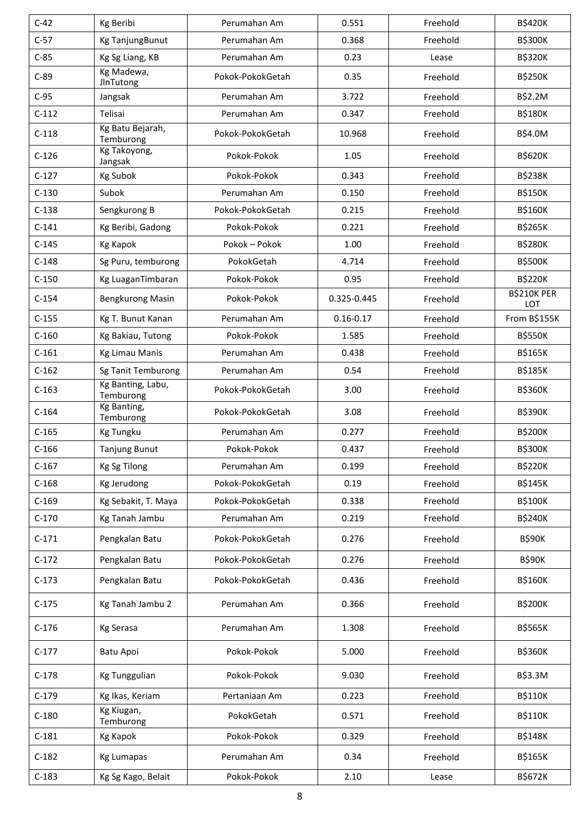| $C-42$  | Kg Beribi                      | Perumahan Am     | 0.551         | Freehold | <b>B\$420K</b>            |
|---------|--------------------------------|------------------|---------------|----------|---------------------------|
| $C-57$  | Kg TanjungBunut                | Perumahan Am     | 0.368         | Freehold | <b>B\$300K</b>            |
| $C-85$  | Kg Sg Liang, KB                | Perumahan Am     | 0.23          | Lease    | <b>B\$320K</b>            |
| $C-89$  | Kg Madewa,<br>JlnTutong        | Pokok-PokokGetah | 0.35          | Freehold | <b>B\$250K</b>            |
| $C-95$  | Jangsak                        | Perumahan Am     | 3.722         | Freehold | B\$2.2M                   |
| $C-112$ | Telisai                        | Perumahan Am     | 0.347         | Freehold | <b>B\$180K</b>            |
| $C-118$ | Kg Batu Bejarah,<br>Temburong  | Pokok-PokokGetah | 10.968        | Freehold | B\$4.0M                   |
| $C-126$ | Kg Takoyong,<br>Jangsak        | Pokok-Pokok      | 1.05          | Freehold | <b>B\$620K</b>            |
| $C-127$ | <b>Kg Subok</b>                | Pokok-Pokok      | 0.343         | Freehold | <b>B\$238K</b>            |
| $C-130$ | Subok                          | Perumahan Am     | 0.150         | Freehold | <b>B\$150K</b>            |
| $C-138$ | Sengkurong B                   | Pokok-PokokGetah | 0.215         | Freehold | <b>B\$160K</b>            |
| $C-141$ | Kg Beribi, Gadong              | Pokok-Pokok      | 0.221         | Freehold | <b>B\$265K</b>            |
| $C-145$ | <b>Kg Kapok</b>                | Pokok – Pokok    | 1.00          | Freehold | <b>B\$280K</b>            |
| $C-148$ | Sg Puru, temburong             | PokokGetah       | 4.714         | Freehold | <b>B\$500K</b>            |
| $C-150$ | Kg LuaganTimbaran              | Pokok-Pokok      | 0.95          | Freehold | <b>B\$220K</b>            |
| $C-154$ | Bengkurong Masin               | Pokok-Pokok      | 0.325-0.445   | Freehold | <b>B\$210K PER</b><br>LOT |
| $C-155$ | Kg T. Bunut Kanan              | Perumahan Am     | $0.16 - 0.17$ | Freehold | From B\$155K              |
| $C-160$ | Kg Bakiau, Tutong              | Pokok-Pokok      | 1.585         | Freehold | <b>B\$550K</b>            |
| $C-161$ | <b>Kg Limau Manis</b>          | Perumahan Am     | 0.438         | Freehold | <b>B\$165K</b>            |
| $C-162$ | Sg Tanit Temburong             | Perumahan Am     | 0.54          | Freehold | <b>B\$185K</b>            |
| $C-163$ | Kg Banting, Labu,<br>Temburong | Pokok-PokokGetah | 3.00          | Freehold | <b>B\$360K</b>            |
| $C-164$ | Kg Banting,<br>Temburong       | Pokok-PokokGetah | 3.08          | Freehold | <b>B\$390K</b>            |
| $C-165$ | <b>Kg Tungku</b>               | Perumahan Am     | 0.277         | Freehold | <b>B\$200K</b>            |
| $C-166$ | <b>Tanjung Bunut</b>           | Pokok-Pokok      | 0.437         | Freehold | <b>B\$300K</b>            |
| $C-167$ | <b>Kg Sg Tilong</b>            | Perumahan Am     | 0.199         | Freehold | <b>B\$220K</b>            |
| $C-168$ | Kg Jerudong                    | Pokok-PokokGetah | 0.19          | Freehold | <b>B\$145K</b>            |
| $C-169$ | Kg Sebakit, T. Maya            | Pokok-PokokGetah | 0.338         | Freehold | <b>B\$100K</b>            |
| $C-170$ | Kg Tanah Jambu                 | Perumahan Am     | 0.219         | Freehold | <b>B\$240K</b>            |
| $C-171$ | Pengkalan Batu                 | Pokok-PokokGetah | 0.276         | Freehold | <b>B\$90K</b>             |
| $C-172$ | Pengkalan Batu                 | Pokok-PokokGetah | 0.276         | Freehold | <b>B\$90K</b>             |
| $C-173$ | Pengkalan Batu                 | Pokok-PokokGetah | 0.436         | Freehold | <b>B\$160K</b>            |
| $C-175$ | Kg Tanah Jambu 2               | Perumahan Am     | 0.366         | Freehold | <b>B\$200K</b>            |
| $C-176$ | <b>Kg Serasa</b>               | Perumahan Am     | 1.308         | Freehold | <b>B\$565K</b>            |
| $C-177$ | Batu Apoi                      | Pokok-Pokok      | 5.000         | Freehold | <b>B\$360K</b>            |
| $C-178$ | Kg Tunggulian                  | Pokok-Pokok      | 9.030         | Freehold | B\$3.3M                   |
| $C-179$ | Kg Ikas, Keriam                | Pertaniaan Am    | 0.223         | Freehold | <b>B\$110K</b>            |
| $C-180$ | Kg Kiugan,<br>Temburong        | PokokGetah       | 0.571         | Freehold | <b>B\$110K</b>            |
| $C-181$ | Kg Kapok                       | Pokok-Pokok      | 0.329         | Freehold | <b>B\$148K</b>            |
| $C-182$ | <b>Kg Lumapas</b>              | Perumahan Am     | 0.34          | Freehold | <b>B\$165K</b>            |
| $C-183$ | Kg Sg Kago, Belait             | Pokok-Pokok      | 2.10          | Lease    | B\$672K                   |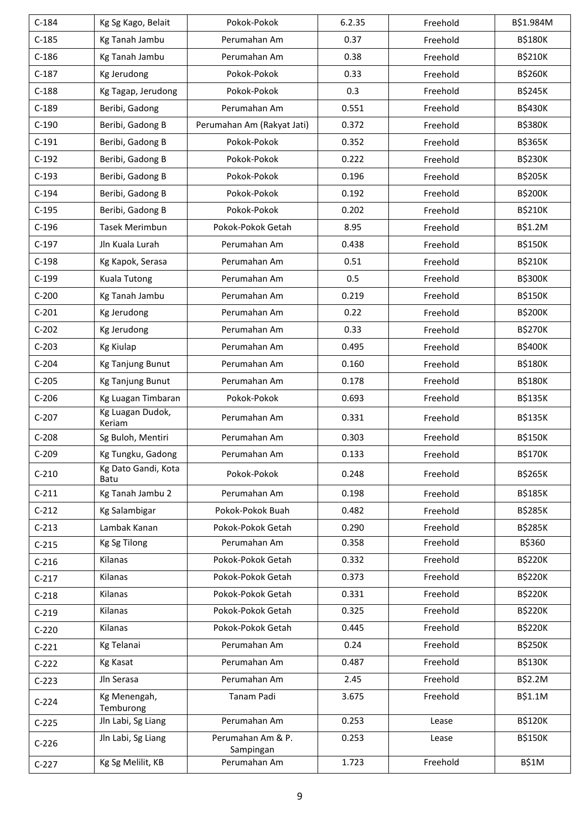| $C-184$ | Kg Sg Kago, Belait          | Pokok-Pokok                    | 6.2.35 | Freehold | B\$1.984M      |
|---------|-----------------------------|--------------------------------|--------|----------|----------------|
| $C-185$ | Kg Tanah Jambu              | Perumahan Am                   | 0.37   | Freehold | <b>B\$180K</b> |
| $C-186$ | Kg Tanah Jambu              | Perumahan Am                   | 0.38   | Freehold | <b>B\$210K</b> |
| $C-187$ | Kg Jerudong                 | Pokok-Pokok                    | 0.33   | Freehold | <b>B\$260K</b> |
| $C-188$ | Kg Tagap, Jerudong          | Pokok-Pokok                    | 0.3    | Freehold | <b>B\$245K</b> |
| $C-189$ | Beribi, Gadong              | Perumahan Am                   | 0.551  | Freehold | <b>B\$430K</b> |
| $C-190$ | Beribi, Gadong B            | Perumahan Am (Rakyat Jati)     | 0.372  | Freehold | <b>B\$380K</b> |
| $C-191$ | Beribi, Gadong B            | Pokok-Pokok                    | 0.352  | Freehold | <b>B\$365K</b> |
| $C-192$ | Beribi, Gadong B            | Pokok-Pokok                    | 0.222  | Freehold | <b>B\$230K</b> |
| $C-193$ | Beribi, Gadong B            | Pokok-Pokok                    | 0.196  | Freehold | <b>B\$205K</b> |
| $C-194$ | Beribi, Gadong B            | Pokok-Pokok                    | 0.192  | Freehold | <b>B\$200K</b> |
| $C-195$ | Beribi, Gadong B            | Pokok-Pokok                    | 0.202  | Freehold | <b>B\$210K</b> |
| $C-196$ | Tasek Merimbun              | Pokok-Pokok Getah              | 8.95   | Freehold | B\$1.2M        |
| $C-197$ | Jln Kuala Lurah             | Perumahan Am                   | 0.438  | Freehold | <b>B\$150K</b> |
| $C-198$ | Kg Kapok, Serasa            | Perumahan Am                   | 0.51   | Freehold | <b>B\$210K</b> |
| $C-199$ | Kuala Tutong                | Perumahan Am                   | 0.5    | Freehold | <b>B\$300K</b> |
| $C-200$ | Kg Tanah Jambu              | Perumahan Am                   | 0.219  | Freehold | <b>B\$150K</b> |
| $C-201$ | Kg Jerudong                 | Perumahan Am                   | 0.22   | Freehold | <b>B\$200K</b> |
| $C-202$ | Kg Jerudong                 | Perumahan Am                   | 0.33   | Freehold | <b>B\$270K</b> |
| $C-203$ | <b>Kg Kiulap</b>            | Perumahan Am                   | 0.495  | Freehold | <b>B\$400K</b> |
| $C-204$ | Kg Tanjung Bunut            | Perumahan Am                   | 0.160  | Freehold | <b>B\$180K</b> |
| $C-205$ | <b>Kg Tanjung Bunut</b>     | Perumahan Am                   | 0.178  | Freehold | <b>B\$180K</b> |
| $C-206$ | Kg Luagan Timbaran          | Pokok-Pokok                    | 0.693  | Freehold | <b>B\$135K</b> |
| $C-207$ | Kg Luagan Dudok,<br>Keriam  | Perumahan Am                   | 0.331  | Freehold | <b>B\$135K</b> |
| $C-208$ | Sg Buloh, Mentiri           | Perumahan Am                   | 0.303  | Freehold | <b>B\$150K</b> |
| $C-209$ | Kg Tungku, Gadong           | Perumahan Am                   | 0.133  | Freehold | <b>B\$170K</b> |
| $C-210$ | Kg Dato Gandi, Kota<br>Batu | Pokok-Pokok                    | 0.248  | Freehold | <b>B\$265K</b> |
| $C-211$ | Kg Tanah Jambu 2            | Perumahan Am                   | 0.198  | Freehold | <b>B\$185K</b> |
| $C-212$ | Kg Salambigar               | Pokok-Pokok Buah               | 0.482  | Freehold | <b>B\$285K</b> |
| $C-213$ | Lambak Kanan                | Pokok-Pokok Getah              | 0.290  | Freehold | <b>B\$285K</b> |
| $C-215$ | <b>Kg Sg Tilong</b>         | Perumahan Am                   | 0.358  | Freehold | B\$360         |
| $C-216$ | Kilanas                     | Pokok-Pokok Getah              | 0.332  | Freehold | <b>B\$220K</b> |
| $C-217$ | Kilanas                     | Pokok-Pokok Getah              | 0.373  | Freehold | <b>B\$220K</b> |
| $C-218$ | Kilanas                     | Pokok-Pokok Getah              | 0.331  | Freehold | <b>B\$220K</b> |
| $C-219$ | Kilanas                     | Pokok-Pokok Getah              | 0.325  | Freehold | <b>B\$220K</b> |
| $C-220$ | Kilanas                     | Pokok-Pokok Getah              | 0.445  | Freehold | <b>B\$220K</b> |
| $C-221$ | Kg Telanai                  | Perumahan Am                   | 0.24   | Freehold | <b>B\$250K</b> |
| $C-222$ | <b>Kg Kasat</b>             | Perumahan Am                   | 0.487  | Freehold | <b>B\$130K</b> |
| $C-223$ | Jln Serasa                  | Perumahan Am                   | 2.45   | Freehold | B\$2.2M        |
| $C-224$ | Kg Menengah,<br>Temburong   | Tanam Padi                     | 3.675  | Freehold | B\$1.1M        |
| $C-225$ | Jln Labi, Sg Liang          | Perumahan Am                   | 0.253  | Lease    | <b>B\$120K</b> |
| $C-226$ | Jln Labi, Sg Liang          | Perumahan Am & P.<br>Sampingan | 0.253  | Lease    | <b>B\$150K</b> |
| $C-227$ | Kg Sg Melilit, KB           | Perumahan Am                   | 1.723  | Freehold | <b>B\$1M</b>   |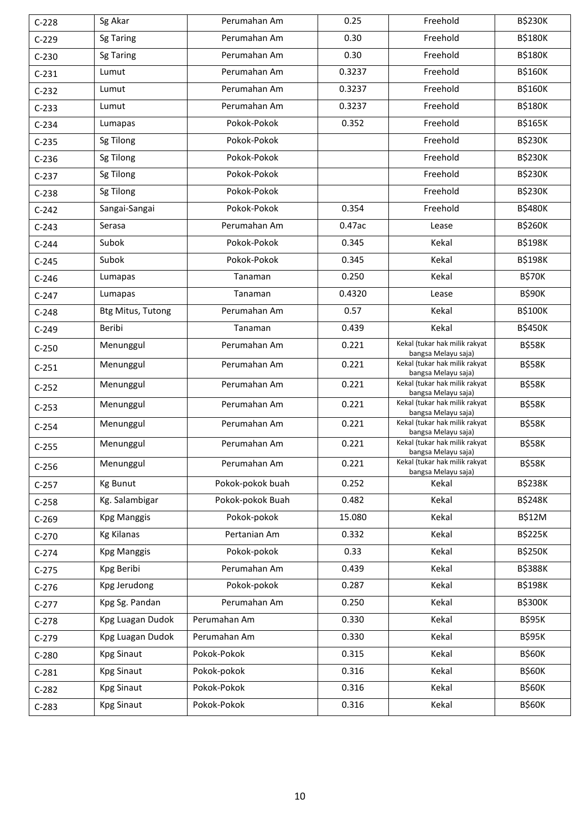| $C-228$ | Sg Akar                  | Perumahan Am     | 0.25   | Freehold                                             | <b>B\$230K</b> |
|---------|--------------------------|------------------|--------|------------------------------------------------------|----------------|
| $C-229$ | <b>Sg Taring</b>         | Perumahan Am     | 0.30   | Freehold                                             | <b>B\$180K</b> |
| $C-230$ | <b>Sg Taring</b>         | Perumahan Am     | 0.30   | Freehold                                             | <b>B\$180K</b> |
| $C-231$ | Lumut                    | Perumahan Am     | 0.3237 | Freehold                                             | <b>B\$160K</b> |
| $C-232$ | Lumut                    | Perumahan Am     | 0.3237 | Freehold                                             | <b>B\$160K</b> |
| $C-233$ | Lumut                    | Perumahan Am     | 0.3237 | Freehold                                             | <b>B\$180K</b> |
| $C-234$ | Lumapas                  | Pokok-Pokok      | 0.352  | Freehold                                             | <b>B\$165K</b> |
| $C-235$ | Sg Tilong                | Pokok-Pokok      |        | Freehold                                             | <b>B\$230K</b> |
| $C-236$ | Sg Tilong                | Pokok-Pokok      |        | Freehold                                             | <b>B\$230K</b> |
| $C-237$ | Sg Tilong                | Pokok-Pokok      |        | Freehold                                             | <b>B\$230K</b> |
| $C-238$ | Sg Tilong                | Pokok-Pokok      |        | Freehold                                             | <b>B\$230K</b> |
| $C-242$ | Sangai-Sangai            | Pokok-Pokok      | 0.354  | Freehold                                             | <b>B\$480K</b> |
| $C-243$ | Serasa                   | Perumahan Am     | 0.47ac | Lease                                                | <b>B\$260K</b> |
| $C-244$ | Subok                    | Pokok-Pokok      | 0.345  | Kekal                                                | <b>B\$198K</b> |
| $C-245$ | Subok                    | Pokok-Pokok      | 0.345  | Kekal                                                | <b>B\$198K</b> |
| $C-246$ | Lumapas                  | Tanaman          | 0.250  | Kekal                                                | <b>B\$70K</b>  |
| $C-247$ | Lumapas                  | Tanaman          | 0.4320 | Lease                                                | <b>B\$90K</b>  |
| $C-248$ | <b>Btg Mitus, Tutong</b> | Perumahan Am     | 0.57   | Kekal                                                | <b>B\$100K</b> |
| $C-249$ | Beribi                   | Tanaman          | 0.439  | Kekal                                                | <b>B\$450K</b> |
| $C-250$ | Menunggul                | Perumahan Am     | 0.221  | Kekal (tukar hak milik rakyat<br>bangsa Melayu saja) | <b>B\$58K</b>  |
| $C-251$ | Menunggul                | Perumahan Am     | 0.221  | Kekal (tukar hak milik rakyat<br>bangsa Melayu saja) | <b>B\$58K</b>  |
| $C-252$ | Menunggul                | Perumahan Am     | 0.221  | Kekal (tukar hak milik rakyat<br>bangsa Melayu saja) | <b>B\$58K</b>  |
| $C-253$ | Menunggul                | Perumahan Am     | 0.221  | Kekal (tukar hak milik rakyat<br>bangsa Melayu saja) | <b>B\$58K</b>  |
| $C-254$ | Menunggul                | Perumahan Am     | 0.221  | Kekal (tukar hak milik rakyat<br>bangsa Melayu saja) | <b>B\$58K</b>  |
| $C-255$ | Menunggul                | Perumahan Am     | 0.221  | Kekal (tukar hak milik rakyat<br>bangsa Melayu saja) | <b>B\$58K</b>  |
| $C-256$ | Menunggul                | Perumahan Am     | 0.221  | Kekal (tukar hak milik rakyat<br>bangsa Melayu saja) | <b>B\$58K</b>  |
| $C-257$ | <b>Kg Bunut</b>          | Pokok-pokok buah | 0.252  | Kekal                                                | <b>B\$238K</b> |
| $C-258$ | Kg. Salambigar           | Pokok-pokok Buah | 0.482  | Kekal                                                | <b>B\$248K</b> |
| $C-269$ | <b>Kpg Manggis</b>       | Pokok-pokok      | 15.080 | Kekal                                                | <b>B\$12M</b>  |
| $C-270$ | <b>Kg Kilanas</b>        | Pertanian Am     | 0.332  | Kekal                                                | <b>B\$225K</b> |
| $C-274$ | <b>Kpg Manggis</b>       | Pokok-pokok      | 0.33   | Kekal                                                | <b>B\$250K</b> |
| $C-275$ | Kpg Beribi               | Perumahan Am     | 0.439  | Kekal                                                | <b>B\$388K</b> |
| $C-276$ | Kpg Jerudong             | Pokok-pokok      | 0.287  | Kekal                                                | <b>B\$198K</b> |
| $C-277$ | Kpg Sg. Pandan           | Perumahan Am     | 0.250  | Kekal                                                | <b>B\$300K</b> |
| $C-278$ | Kpg Luagan Dudok         | Perumahan Am     | 0.330  | Kekal                                                | <b>B\$95K</b>  |
| $C-279$ | Kpg Luagan Dudok         | Perumahan Am     | 0.330  | Kekal                                                | <b>B\$95K</b>  |
| $C-280$ | <b>Kpg Sinaut</b>        | Pokok-Pokok      | 0.315  | Kekal                                                | <b>B\$60K</b>  |
| $C-281$ | <b>Kpg Sinaut</b>        | Pokok-pokok      | 0.316  | Kekal                                                | <b>B\$60K</b>  |
| $C-282$ | <b>Kpg Sinaut</b>        | Pokok-Pokok      | 0.316  | Kekal                                                | <b>B\$60K</b>  |
| $C-283$ | <b>Kpg Sinaut</b>        | Pokok-Pokok      | 0.316  | Kekal                                                | <b>B\$60K</b>  |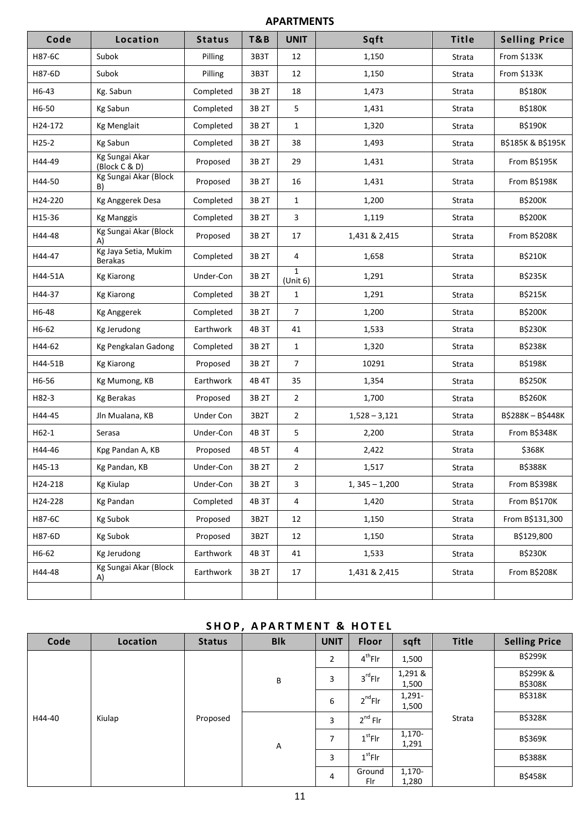### **APARTMENTS**

| Code    | Location                        | <b>Status</b> | T&B   | <b>UNIT</b>              | Sqft            | Title  | <b>Selling Price</b>         |
|---------|---------------------------------|---------------|-------|--------------------------|-----------------|--------|------------------------------|
| H87-6C  | Subok                           | Pilling       | 3B3T  | 12                       | 1,150           | Strata | From \$133K                  |
| H87-6D  | Subok                           | Pilling       | 3B3T  | 12                       | 1,150           | Strata | From \$133K                  |
| H6-43   | Kg. Sabun                       | Completed     | 3B 2T | 18                       | 1,473           | Strata | <b>B\$180K</b>               |
| H6-50   | Kg Sabun                        | Completed     | 3B 2T | 5                        | 1,431           | Strata | <b>B\$180K</b>               |
| H24-172 | Kg Menglait                     | Completed     | 3B 2T | $\mathbf{1}$             | 1,320           | Strata | B\$190K                      |
| $H25-2$ | Kg Sabun                        | Completed     | 3B 2T | 38                       | 1,493           | Strata | <b>B\$185K &amp; B\$195K</b> |
| H44-49  | Kg Sungai Akar<br>(Block C & D) | Proposed      | 3B 2T | 29                       | 1,431           | Strata | From B\$195K                 |
| H44-50  | Kg Sungai Akar (Block<br>B)     | Proposed      | 3B 2T | 16                       | 1,431           | Strata | From B\$198K                 |
| H24-220 | Kg Anggerek Desa                | Completed     | 3B 2T | $\mathbf{1}$             | 1,200           | Strata | <b>B\$200K</b>               |
| H15-36  | <b>Kg Manggis</b>               | Completed     | 3B 2T | 3                        | 1,119           | Strata | <b>B\$200K</b>               |
| H44-48  | Kg Sungai Akar (Block<br>A)     | Proposed      | 3B 2T | 17                       | 1,431 & 2,415   | Strata | From B\$208K                 |
| H44-47  | Kg Jaya Setia, Mukim<br>Berakas | Completed     | 3B 2T | 4                        | 1,658           | Strata | B\$210K                      |
| H44-51A | <b>Kg Kiarong</b>               | Under-Con     | 3B 2T | $\mathbf{1}$<br>(Unit 6) | 1,291           | Strata | <b>B\$235K</b>               |
| H44-37  | <b>Kg Kiarong</b>               | Completed     | 3B 2T | $\mathbf{1}$             | 1,291           | Strata | B\$215K                      |
| H6-48   | <b>Kg Anggerek</b>              | Completed     | 3B 2T | $\overline{7}$           | 1,200           | Strata | <b>B\$200K</b>               |
| H6-62   | Kg Jerudong                     | Earthwork     | 4B 3T | 41                       | 1,533           | Strata | <b>B\$230K</b>               |
| H44-62  | Kg Pengkalan Gadong             | Completed     | 3B 2T | $\mathbf{1}$             | 1,320           | Strata | <b>B\$238K</b>               |
| H44-51B | <b>Kg Kiarong</b>               | Proposed      | 3B 2T | $\overline{7}$           | 10291           | Strata | B\$198K                      |
| H6-56   | Kg Mumong, KB                   | Earthwork     | 4B 4T | 35                       | 1,354           | Strata | <b>B\$250K</b>               |
| H82-3   | Kg Berakas                      | Proposed      | 3B 2T | $\overline{2}$           | 1,700           | Strata | <b>B\$260K</b>               |
| H44-45  | Jln Mualana, KB                 | Under Con     | 3B2T  | $\overline{2}$           | $1,528 - 3,121$ | Strata | B\$288K-B\$448K              |
| $H62-1$ | Serasa                          | Under-Con     | 4B 3T | 5                        | 2,200           | Strata | From B\$348K                 |
| H44-46  | Kpg Pandan A, KB                | Proposed      | 4B 5T | 4                        | 2,422           | Strata | \$368K                       |
| H45-13  | Kg Pandan, KB                   | Under-Con     | 3B 2T | $\overline{2}$           | 1,517           | Strata | <b>B\$388K</b>               |
| H24-218 | <b>Kg Kiulap</b>                | Under-Con     | 3B 2T | 3                        | $1,345 - 1,200$ | Strata | From B\$398K                 |
| H24-228 | Kg Pandan                       | Completed     | 4B 3T | 4                        | 1,420           | Strata | From B\$170K                 |
| H87-6C  | <b>Kg Subok</b>                 | Proposed      | 3B2T  | 12                       | 1,150           | Strata | From B\$131,300              |
| H87-6D  | Kg Subok                        | Proposed      | 3B2T  | 12                       | 1,150           | Strata | B\$129,800                   |
| H6-62   | Kg Jerudong                     | Earthwork     | 4B 3T | 41                       | 1,533           | Strata | <b>B\$230K</b>               |
| H44-48  | Kg Sungai Akar (Block<br>A)     | Earthwork     | 3B 2T | 17                       | 1,431 & 2,415   | Strata | From B\$208K                 |
|         |                                 |               |       |                          |                 |        |                              |

## **SHOP, APARTMENT & HOTEL**

| Code   | Location | . .<br><b>Status</b> | <b>Blk</b>                                                                                                                           | <b>UNIT</b>    | Floor             | sqft            | <b>Title</b>   | <b>Selling Price</b>                  |
|--------|----------|----------------------|--------------------------------------------------------------------------------------------------------------------------------------|----------------|-------------------|-----------------|----------------|---------------------------------------|
|        |          |                      | $4^{th}$ Flr<br>$\overline{2}$<br>1,500<br>1,291 &<br>$3^{\text{rd}}$ Flr<br>3<br>B<br>1,500<br>1,291-<br>$2^{nd}$ Flr<br>6<br>1,500 |                |                   |                 |                | <b>B\$299K</b>                        |
|        | Kiulap   |                      |                                                                                                                                      |                |                   |                 |                | <b>B\$299K&amp;</b><br><b>B\$308K</b> |
|        |          |                      |                                                                                                                                      |                | $2^{nd}$ Flr<br>3 |                 | <b>B\$318K</b> |                                       |
| H44-40 |          | Proposed             |                                                                                                                                      |                |                   |                 | Strata         | <b>B\$328K</b>                        |
|        |          |                      | A                                                                                                                                    | 7              | $1st$ Flr         | 1,170-<br>1,291 |                | <b>B\$369K</b>                        |
|        |          |                      |                                                                                                                                      | $1st$ Flr<br>3 |                   |                 | <b>B\$388K</b> |                                       |
|        |          |                      |                                                                                                                                      | 4              | Ground<br>Flr     | 1,170-<br>1,280 |                | <b>B\$458K</b>                        |